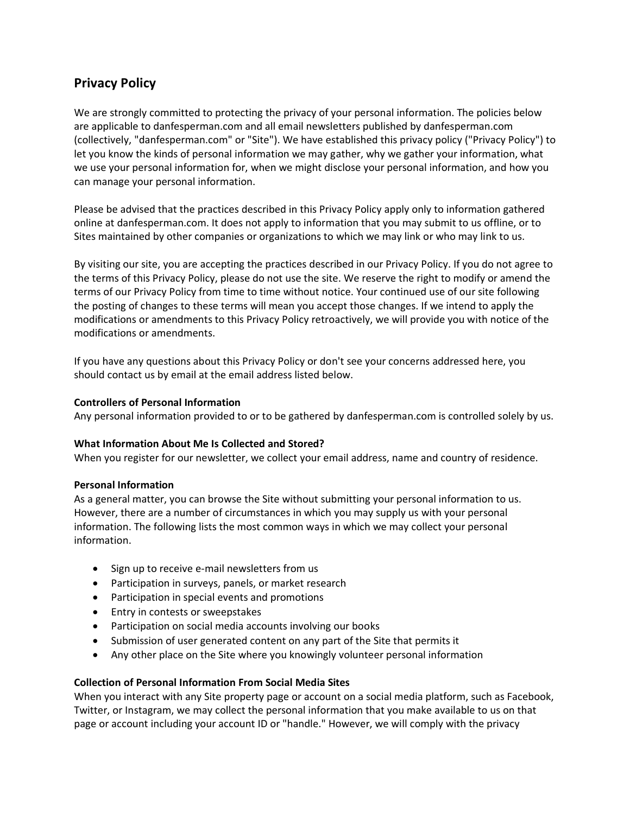# **Privacy Policy**

We are strongly committed to protecting the privacy of your personal information. The policies below are applicable to danfesperman.com and all email newsletters published by danfesperman.com (collectively, "danfesperman.com" or "Site"). We have established this privacy policy ("Privacy Policy") to let you know the kinds of personal information we may gather, why we gather your information, what we use your personal information for, when we might disclose your personal information, and how you can manage your personal information.

Please be advised that the practices described in this Privacy Policy apply only to information gathered online at danfesperman.com. It does not apply to information that you may submit to us offline, or to Sites maintained by other companies or organizations to which we may link or who may link to us.

By visiting our site, you are accepting the practices described in our Privacy Policy. If you do not agree to the terms of this Privacy Policy, please do not use the site. We reserve the right to modify or amend the terms of our Privacy Policy from time to time without notice. Your continued use of our site following the posting of changes to these terms will mean you accept those changes. If we intend to apply the modifications or amendments to this Privacy Policy retroactively, we will provide you with notice of the modifications or amendments.

If you have any questions about this Privacy Policy or don't see your concerns addressed here, you should contact us by email at the email address listed below.

## **Controllers of Personal Information**

Any personal information provided to or to be gathered by danfesperman.com is controlled solely by us.

## **What Information About Me Is Collected and Stored?**

When you register for our newsletter, we collect your email address, name and country of residence.

#### **Personal Information**

As a general matter, you can browse the Site without submitting your personal information to us. However, there are a number of circumstances in which you may supply us with your personal information. The following lists the most common ways in which we may collect your personal information.

- Sign up to receive e-mail newsletters from us
- Participation in surveys, panels, or market research
- Participation in special events and promotions
- Entry in contests or sweepstakes
- Participation on social media accounts involving our books
- Submission of user generated content on any part of the Site that permits it
- Any other place on the Site where you knowingly volunteer personal information

#### **Collection of Personal Information From Social Media Sites**

When you interact with any Site property page or account on a social media platform, such as Facebook, Twitter, or Instagram, we may collect the personal information that you make available to us on that page or account including your account ID or "handle." However, we will comply with the privacy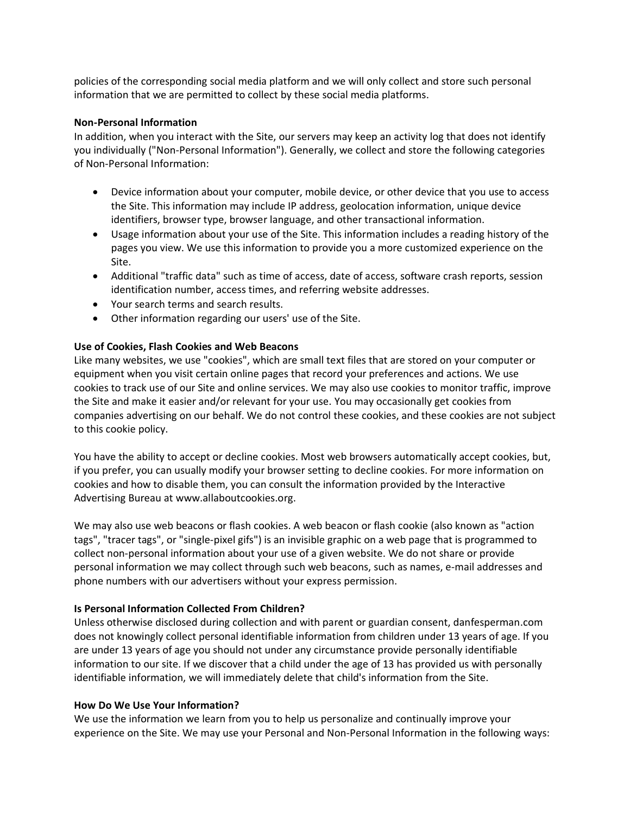policies of the corresponding social media platform and we will only collect and store such personal information that we are permitted to collect by these social media platforms.

#### **Non-Personal Information**

In addition, when you interact with the Site, our servers may keep an activity log that does not identify you individually ("Non-Personal Information"). Generally, we collect and store the following categories of Non-Personal Information:

- Device information about your computer, mobile device, or other device that you use to access the Site. This information may include IP address, geolocation information, unique device identifiers, browser type, browser language, and other transactional information.
- Usage information about your use of the Site. This information includes a reading history of the pages you view. We use this information to provide you a more customized experience on the Site.
- Additional "traffic data" such as time of access, date of access, software crash reports, session identification number, access times, and referring website addresses.
- Your search terms and search results.
- Other information regarding our users' use of the Site.

## **Use of Cookies, Flash Cookies and Web Beacons**

Like many websites, we use "cookies", which are small text files that are stored on your computer or equipment when you visit certain online pages that record your preferences and actions. We use cookies to track use of our Site and online services. We may also use cookies to monitor traffic, improve the Site and make it easier and/or relevant for your use. You may occasionally get cookies from companies advertising on our behalf. We do not control these cookies, and these cookies are not subject to this cookie policy.

You have the ability to accept or decline cookies. Most web browsers automatically accept cookies, but, if you prefer, you can usually modify your browser setting to decline cookies. For more information on cookies and how to disable them, you can consult the information provided by the Interactive Advertising Bureau at www.allaboutcookies.org.

We may also use web beacons or flash cookies. A web beacon or flash cookie (also known as "action tags", "tracer tags", or "single-pixel gifs") is an invisible graphic on a web page that is programmed to collect non-personal information about your use of a given website. We do not share or provide personal information we may collect through such web beacons, such as names, e-mail addresses and phone numbers with our advertisers without your express permission.

## **Is Personal Information Collected From Children?**

Unless otherwise disclosed during collection and with parent or guardian consent, danfesperman.com does not knowingly collect personal identifiable information from children under 13 years of age. If you are under 13 years of age you should not under any circumstance provide personally identifiable information to our site. If we discover that a child under the age of 13 has provided us with personally identifiable information, we will immediately delete that child's information from the Site.

## **How Do We Use Your Information?**

We use the information we learn from you to help us personalize and continually improve your experience on the Site. We may use your Personal and Non-Personal Information in the following ways: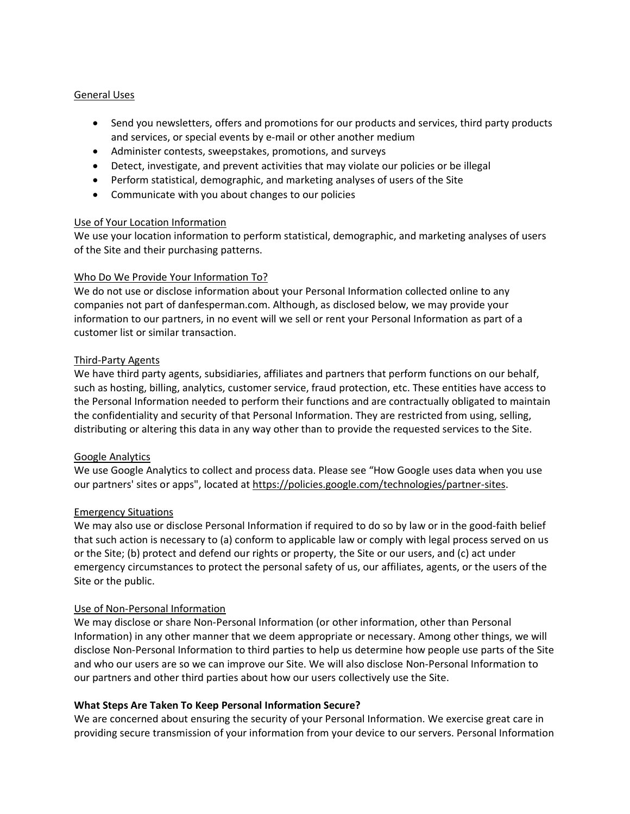## General Uses

- Send you newsletters, offers and promotions for our products and services, third party products and services, or special events by e-mail or other another medium
- Administer contests, sweepstakes, promotions, and surveys
- Detect, investigate, and prevent activities that may violate our policies or be illegal
- Perform statistical, demographic, and marketing analyses of users of the Site
- Communicate with you about changes to our policies

#### Use of Your Location Information

We use your location information to perform statistical, demographic, and marketing analyses of users of the Site and their purchasing patterns.

#### Who Do We Provide Your Information To?

We do not use or disclose information about your Personal Information collected online to any companies not part of danfesperman.com. Although, as disclosed below, we may provide your information to our partners, in no event will we sell or rent your Personal Information as part of a customer list or similar transaction.

#### Third-Party Agents

We have third party agents, subsidiaries, affiliates and partners that perform functions on our behalf, such as hosting, billing, analytics, customer service, fraud protection, etc. These entities have access to the Personal Information needed to perform their functions and are contractually obligated to maintain the confidentiality and security of that Personal Information. They are restricted from using, selling, distributing or altering this data in any way other than to provide the requested services to the Site.

## Google Analytics

We use Google Analytics to collect and process data. Please see "How Google uses data when you use our partners' sites or apps", located at [https://policies.google.com/technologies/partner-sites.](https://policies.google.com/technologies/partner-sites)

## Emergency Situations

We may also use or disclose Personal Information if required to do so by law or in the good-faith belief that such action is necessary to (a) conform to applicable law or comply with legal process served on us or the Site; (b) protect and defend our rights or property, the Site or our users, and (c) act under emergency circumstances to protect the personal safety of us, our affiliates, agents, or the users of the Site or the public.

#### Use of Non-Personal Information

We may disclose or share Non-Personal Information (or other information, other than Personal Information) in any other manner that we deem appropriate or necessary. Among other things, we will disclose Non-Personal Information to third parties to help us determine how people use parts of the Site and who our users are so we can improve our Site. We will also disclose Non-Personal Information to our partners and other third parties about how our users collectively use the Site.

## **What Steps Are Taken To Keep Personal Information Secure?**

We are concerned about ensuring the security of your Personal Information. We exercise great care in providing secure transmission of your information from your device to our servers. Personal Information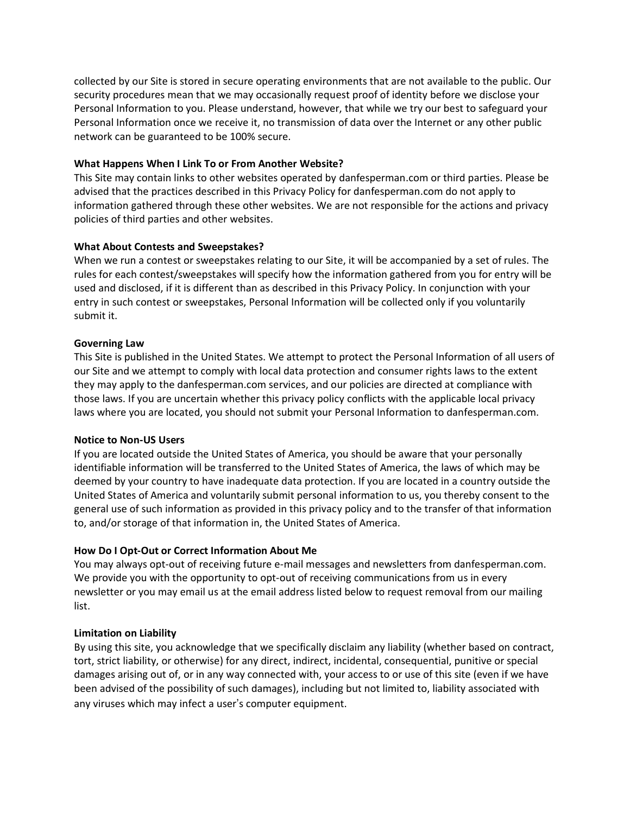collected by our Site is stored in secure operating environments that are not available to the public. Our security procedures mean that we may occasionally request proof of identity before we disclose your Personal Information to you. Please understand, however, that while we try our best to safeguard your Personal Information once we receive it, no transmission of data over the Internet or any other public network can be guaranteed to be 100% secure.

## **What Happens When I Link To or From Another Website?**

This Site may contain links to other websites operated by danfesperman.com or third parties. Please be advised that the practices described in this Privacy Policy for danfesperman.com do not apply to information gathered through these other websites. We are not responsible for the actions and privacy policies of third parties and other websites.

# **What About Contests and Sweepstakes?**

When we run a contest or sweepstakes relating to our Site, it will be accompanied by a set of rules. The rules for each contest/sweepstakes will specify how the information gathered from you for entry will be used and disclosed, if it is different than as described in this Privacy Policy. In conjunction with your entry in such contest or sweepstakes, Personal Information will be collected only if you voluntarily submit it.

## **Governing Law**

This Site is published in the United States. We attempt to protect the Personal Information of all users of our Site and we attempt to comply with local data protection and consumer rights laws to the extent they may apply to the danfesperman.com services, and our policies are directed at compliance with those laws. If you are uncertain whether this privacy policy conflicts with the applicable local privacy laws where you are located, you should not submit your Personal Information to danfesperman.com.

## **Notice to Non-US Users**

If you are located outside the United States of America, you should be aware that your personally identifiable information will be transferred to the United States of America, the laws of which may be deemed by your country to have inadequate data protection. If you are located in a country outside the United States of America and voluntarily submit personal information to us, you thereby consent to the general use of such information as provided in this privacy policy and to the transfer of that information to, and/or storage of that information in, the United States of America.

# **How Do I Opt-Out or Correct Information About Me**

You may always opt-out of receiving future e-mail messages and newsletters from danfesperman.com. We provide you with the opportunity to opt-out of receiving communications from us in every newsletter or you may email us at the email address listed below to request removal from our mailing list.

# **Limitation on Liability**

By using this site, you acknowledge that we specifically disclaim any liability (whether based on contract, tort, strict liability, or otherwise) for any direct, indirect, incidental, consequential, punitive or special damages arising out of, or in any way connected with, your access to or use of this site (even if we have been advised of the possibility of such damages), including but not limited to, liability associated with any viruses which may infect a user's computer equipment.